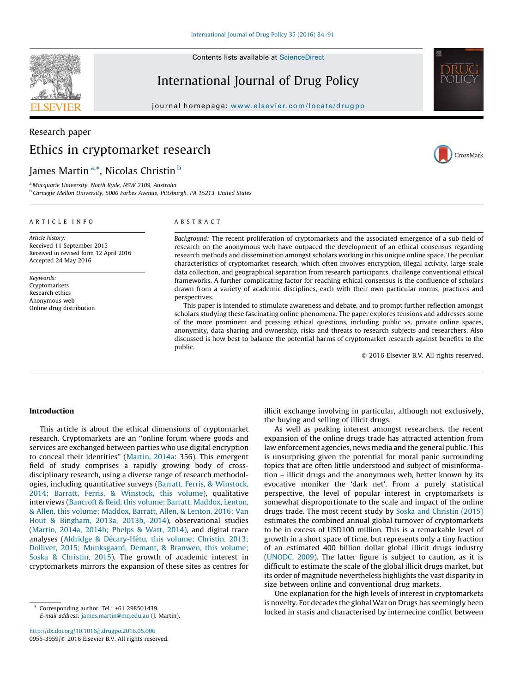Contents lists available at ScienceDirect

# International Journal of Drug Policy

journal homepage: www.elsevier.com/locate/drugpo

# Research paper Ethics in cryptomarket research

# James Martin<sup>a,</sup>\*, Nicolas Christin <sup>b</sup>

<sup>a</sup> Macquarie University, North Ryde, NSW 2109, Australia <sup>b</sup> Carnegie Mellon University, 5000 Forbes Avenue, Pittsburgh, PA 15213, United States

#### ARTICLE INFO

Article history: Received 11 September 2015 Received in revised form 12 April 2016 Accepted 24 May 2016

Keywords: Cryptomarkets Research ethics Anonymous web Online drug distribution

#### ABSTRACT

Background: The recent proliferation of cryptomarkets and the associated emergence of a sub-field of research on the anonymous web have outpaced the development of an ethical consensus regarding research methods and dissemination amongst scholars working in this unique online space. The peculiar characteristics of cryptomarket research, which often involves encryption, illegal activity, large-scale data collection, and geographical separation from research participants, challenge conventional ethical frameworks. A further complicating factor for reaching ethical consensus is the confluence of scholars drawn from a variety of academic disciplines, each with their own particular norms, practices and perspectives.

This paper is intended to stimulate awareness and debate, and to prompt further reflection amongst scholars studying these fascinating online phenomena. The paper explores tensions and addresses some of the more prominent and pressing ethical questions, including public vs. private online spaces, anonymity, data sharing and ownership, risks and threats to research subjects and researchers. Also discussed is how best to balance the potential harms of cryptomarket research against benefits to the public.

 $@$  2016 Elsevier B.V. All rights reserved.

#### Introduction

This article is about the ethical dimensions of cryptomarket research. Cryptomarkets are an ''online forum where goods and services are exchanged between parties who use digital encryption to conceal their identities'' (Martin, 2014a: 356). This emergent field of study comprises a rapidly growing body of crossdisciplinary research, using a diverse range of research methodologies, including quantitative surveys (Barratt, Ferris, & Winstock, 2014; Barratt, Ferris, & Winstock, this volume), qualitative interviews (Bancroft & Reid, this volume; Barratt, Maddox, Lenton, & Allen, this volume; Maddox, Barratt, Allen, & Lenton, 2016; Van Hout & Bingham, 2013a, 2013b, 2014), observational studies (Martin, 2014a, 2014b; Phelps & Watt, 2014), and digital trace analyses (Aldridge & Décary-Hétu, this volume; Christin, 2013; Dolliver, 2015; Munksgaard, Demant, & Branwen, this volume; Soska & Christin, 2015). The growth of academic interest in cryptomarkets mirrors the expansion of these sites as centres for

Corresponding author. Tel.: +61 298501439. E-mail address: james.martin@mq.edu.au (J. Martin).

http://dx.doi.org/10.1016/j.drugpo.2016.05.006 0955-3959/@ 2016 Elsevier B.V. All rights reserved. illicit exchange involving in particular, although not exclusively, the buying and selling of illicit drugs.

As well as peaking interest amongst researchers, the recent expansion of the online drugs trade has attracted attention from law enforcement agencies, news media and the general public. This is unsurprising given the potential for moral panic surrounding topics that are often little understood and subject of misinformation – illicit drugs and the anonymous web, better known by its evocative moniker the 'dark net'. From a purely statistical perspective, the level of popular interest in cryptomarkets is somewhat disproportionate to the scale and impact of the online drugs trade. The most recent study by Soska and Christin (2015) estimates the combined annual global turnover of cryptomarkets to be in excess of USD100 million. This is a remarkable level of growth in a short space of time, but represents only a tiny fraction of an estimated 400 billion dollar global illicit drugs industry (UNODC, 2009). The latter figure is subject to caution, as it is difficult to estimate the scale of the global illicit drugs market, but its order of magnitude nevertheless highlights the vast disparity in size between online and conventional drug markets.

One explanation for the high levels of interest in cryptomarkets is novelty. For decades the global War on Drugs has seemingly been locked in stasis and characterised by internecine conflict between





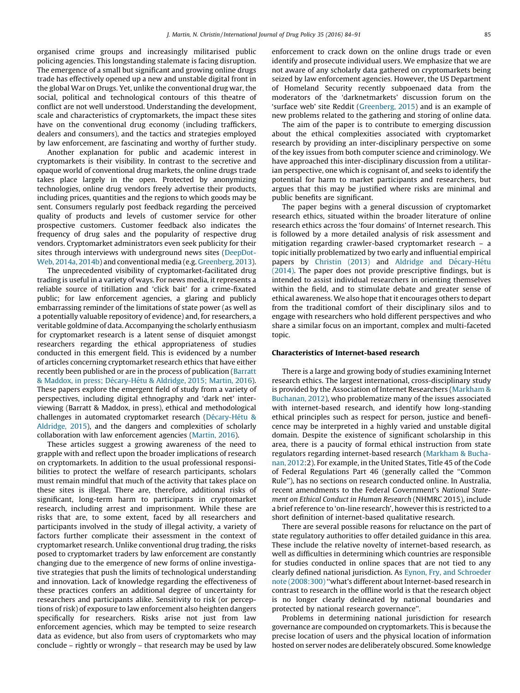organised crime groups and increasingly militarised public policing agencies. This longstanding stalemate is facing disruption. The emergence of a small but significant and growing online drugs trade has effectively opened up a new and unstable digital front in the global War on Drugs. Yet, unlike the conventional drug war, the social, political and technological contours of this theatre of conflict are not well understood. Understanding the development, scale and characteristics of cryptomarkets, the impact these sites have on the conventional drug economy (including traffickers, dealers and consumers), and the tactics and strategies employed by law enforcement, are fascinating and worthy of further study.

Another explanation for public and academic interest in cryptomarkets is their visibility. In contrast to the secretive and opaque world of conventional drug markets, the online drugs trade takes place largely in the open. Protected by anonymizing technologies, online drug vendors freely advertise their products, including prices, quantities and the regions to which goods may be sent. Consumers regularly post feedback regarding the perceived quality of products and levels of customer service for other prospective customers. Customer feedback also indicates the frequency of drug sales and the popularity of respective drug vendors. Cryptomarket administrators even seek publicity for their sites through interviews with underground news sites (DeepDot-Web, 2014a, 2014b) and conventional media (e.g. Greenberg, 2013).

The unprecedented visibility of cryptomarket-facilitated drug trading is useful in a variety of ways. For news media, it represents a reliable source of titillation and 'click bait' for a crime-fixated public; for law enforcement agencies, a glaring and publicly embarrassing reminder of the limitations of state power (as well as a potentially valuable repository of evidence) and, for researchers, a veritable goldmine of data. Accompanying the scholarly enthusiasm for cryptomarket research is a latent sense of disquiet amongst researchers regarding the ethical appropriateness of studies conducted in this emergent field. This is evidenced by a number of articles concerning cryptomarket research ethics that have either recently been published or are in the process of publication (Barratt & Maddox, in press; Décary-Hétu & Aldridge, 2015; Martin, 2016). These papers explore the emergent field of study from a variety of perspectives, including digital ethnography and 'dark net' interviewing (Barratt & Maddox, in press), ethical and methodological challenges in automated cryptomarket research (Décary-Hétu & Aldridge, 2015), and the dangers and complexities of scholarly collaboration with law enforcement agencies (Martin, 2016).

These articles suggest a growing awareness of the need to grapple with and reflect upon the broader implications of research on cryptomarkets. In addition to the usual professional responsibilities to protect the welfare of research participants, scholars must remain mindful that much of the activity that takes place on these sites is illegal. There are, therefore, additional risks of significant, long-term harm to participants in cryptomarket research, including arrest and imprisonment. While these are risks that are, to some extent, faced by all researchers and participants involved in the study of illegal activity, a variety of factors further complicate their assessment in the context of cryptomarket research. Unlike conventional drug trading, the risks posed to cryptomarket traders by law enforcement are constantly changing due to the emergence of new forms of online investigative strategies that push the limits of technological understanding and innovation. Lack of knowledge regarding the effectiveness of these practices confers an additional degree of uncertainty for researchers and participants alike. Sensitivity to risk (or perceptions of risk) of exposure to law enforcement also heighten dangers specifically for researchers. Risks arise not just from law enforcement agencies, which may be tempted to seize research data as evidence, but also from users of cryptomarkets who may conclude – rightly or wrongly – that research may be used by law

enforcement to crack down on the online drugs trade or even identify and prosecute individual users. We emphasize that we are not aware of any scholarly data gathered on cryptomarkets being seized by law enforcement agencies. However, the US Department of Homeland Security recently subpoenaed data from the moderators of the 'darknetmarkets' discussion forum on the 'surface web' site Reddit (Greenberg, 2015) and is an example of new problems related to the gathering and storing of online data.

The aim of the paper is to contribute to emerging discussion about the ethical complexities associated with cryptomarket research by providing an inter-disciplinary perspective on some of the key issues from both computer science and criminology. We have approached this inter-disciplinary discussion from a utilitarian perspective, one which is cognisant of, and seeks to identify the potential for harm to market participants and researchers, but argues that this may be justified where risks are minimal and public benefits are significant.

The paper begins with a general discussion of cryptomarket research ethics, situated within the broader literature of online research ethics across the 'four domains' of Internet research. This is followed by a more detailed analysis of risk assessment and mitigation regarding crawler-based cryptomarket research – a topic initially problematized by two early and influential empirical papers by Christin (2013) and Aldridge and Décary-Hétu (2014). The paper does not provide prescriptive findings, but is intended to assist individual researchers in orienting themselves within the field, and to stimulate debate and greater sense of ethical awareness. We also hope that it encourages others to depart from the traditional comfort of their disciplinary silos and to engage with researchers who hold different perspectives and who share a similar focus on an important, complex and multi-faceted topic.

### Characteristics of Internet-based research

There is a large and growing body of studies examining Internet research ethics. The largest international, cross-disciplinary study is provided by the Association of Internet Researchers (Markham & Buchanan, 2012), who problematize many of the issues associated with internet-based research, and identify how long-standing ethical principles such as respect for person, justice and beneficence may be interpreted in a highly varied and unstable digital domain. Despite the existence of significant scholarship in this area, there is a paucity of formal ethical instruction from state regulators regarding internet-based research (Markham & Buchanan, 2012:2). For example, in the United States, Title 45 of the Code of Federal Regulations Part 46 (generally called the ''Common Rule''), has no sections on research conducted online. In Australia, recent amendments to the Federal Government's National Statement on Ethical Conduct in Human Research (NHMRC 2015), include a brief reference to 'on-line research', however this is restricted to a short definition of internet-based qualitative research.

There are several possible reasons for reluctance on the part of state regulatory authorities to offer detailed guidance in this area. These include the relative novelty of internet-based research, as well as difficulties in determining which countries are responsible for studies conducted in online spaces that are not tied to any clearly defined national jurisdiction. As Eynon, Fry, and Schroeder note (2008:300) ''what's different about Internet-based research in contrast to research in the offline world is that the research object is no longer clearly delineated by national boundaries and protected by national research governance''.

Problems in determining national jurisdiction for research governance are compounded on cryptomarkets. This is because the precise location of users and the physical location of information hosted on server nodes are deliberately obscured. Some knowledge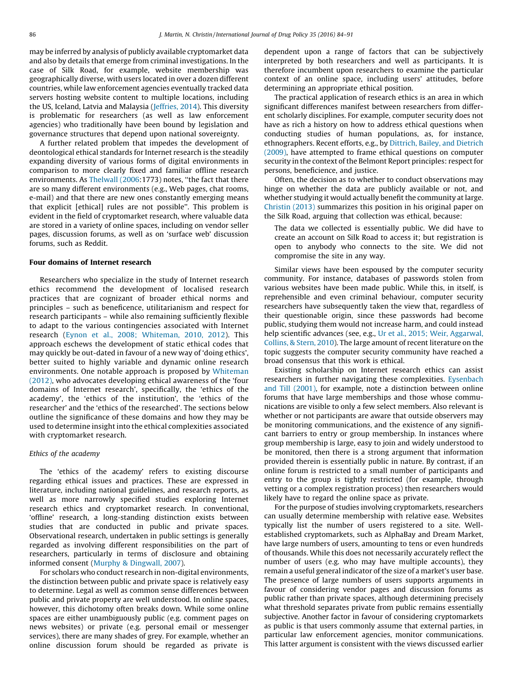may be inferred by analysis of publicly available cryptomarket data and also by details that emerge from criminal investigations. In the case of Silk Road, for example, website membership was geographically diverse, with users located in over a dozen different countries, while law enforcement agencies eventually tracked data servers hosting website content to multiple locations, including the US, Iceland, Latvia and Malaysia (Jeffries, 2014). This diversity is problematic for researchers (as well as law enforcement agencies) who traditionally have been bound by legislation and governance structures that depend upon national sovereignty.

A further related problem that impedes the development of deontological ethical standards for Internet research is the steadily expanding diversity of various forms of digital environments in comparison to more clearly fixed and familiar offline research environments. As Thelwall (2006:1773) notes, ''the fact that there are so many different environments (e.g., Web pages, chat rooms, e-mail) and that there are new ones constantly emerging means that explicit [ethical] rules are not possible''. This problem is evident in the field of cryptomarket research, where valuable data are stored in a variety of online spaces, including on vendor seller pages, discussion forums, as well as on 'surface web' discussion forums, such as Reddit.

#### Four domains of Internet research

Researchers who specialize in the study of Internet research ethics recommend the development of localised research practices that are cognizant of broader ethical norms and principles – such as beneficence, utilitarianism and respect for research participants – while also remaining sufficiently flexible to adapt to the various contingencies associated with Internet research (Eynon et al., 2008; Whiteman, 2010, 2012). This approach eschews the development of static ethical codes that may quickly be out-dated in favour of a new way of 'doing ethics', better suited to highly variable and dynamic online research environments. One notable approach is proposed by Whiteman (2012), who advocates developing ethical awareness of the 'four domains of Internet research', specifically, the 'ethics of the academy', the 'ethics of the institution', the 'ethics of the researcher' and the 'ethics of the researched'. The sections below outline the significance of these domains and how they may be used to determine insight into the ethical complexities associated with cryptomarket research.

#### Ethics of the academy

The 'ethics of the academy' refers to existing discourse regarding ethical issues and practices. These are expressed in literature, including national guidelines, and research reports, as well as more narrowly specified studies exploring Internet research ethics and cryptomarket research. In conventional, 'offline' research, a long-standing distinction exists between studies that are conducted in public and private spaces. Observational research, undertaken in public settings is generally regarded as involving different responsibilities on the part of researchers, particularly in terms of disclosure and obtaining informed consent (Murphy & Dingwall, 2007).

For scholars who conduct research in non-digital environments, the distinction between public and private space is relatively easy to determine. Legal as well as common sense differences between public and private property are well understood. In online spaces, however, this dichotomy often breaks down. While some online spaces are either unambiguously public (e.g. comment pages on news websites) or private (e.g. personal email or messenger services), there are many shades of grey. For example, whether an online discussion forum should be regarded as private is dependent upon a range of factors that can be subjectively interpreted by both researchers and well as participants. It is therefore incumbent upon researchers to examine the particular context of an online space, including users' attitudes, before determining an appropriate ethical position.

The practical application of research ethics is an area in which significant differences manifest between researchers from different scholarly disciplines. For example, computer security does not have as rich a history on how to address ethical questions when conducting studies of human populations, as, for instance, ethnographers. Recent efforts, e.g., by Dittrich, Bailey, and Dietrich (2009), have attempted to frame ethical questions on computer security in the context of the Belmont Report principles: respect for persons, beneficience, and justice.

Often, the decision as to whether to conduct observations may hinge on whether the data are publicly available or not, and whether studying it would actually benefit the community at large. Christin (2013) summarizes this position in his original paper on the Silk Road, arguing that collection was ethical, because:

The data we collected is essentially public. We did have to create an account on Silk Road to access it; but registration is open to anybody who connects to the site. We did not compromise the site in any way.

Similar views have been espoused by the computer security community. For instance, databases of passwords stolen from various websites have been made public. While this, in itself, is reprehensible and even criminal behaviour, computer security researchers have subsequently taken the view that, regardless of their questionable origin, since these passwords had become public, studying them would not increase harm, and could instead help scientific advances (see, e.g., Ur et al., 2015; Weir, Aggarwal, Collins, & Stern, 2010). The large amount of recent literature on the topic suggests the computer security community have reached a broad consensus that this work is ethical.

Existing scholarship on Internet research ethics can assist researchers in further navigating these complexities. Eysenbach and Till (2001), for example, note a distinction between online forums that have large memberships and those whose communications are visible to only a few select members. Also relevant is whether or not participants are aware that outside observers may be monitoring communications, and the existence of any significant barriers to entry or group membership. In instances where group membership is large, easy to join and widely understood to be monitored, then there is a strong argument that information provided therein is essentially public in nature. By contrast, if an online forum is restricted to a small number of participants and entry to the group is tightly restricted (for example, through vetting or a complex registration process) then researchers would likely have to regard the online space as private.

For the purpose of studies involving cryptomarkets, researchers can usually determine membership with relative ease. Websites typically list the number of users registered to a site. Wellestablished cryptomarkets, such as AlphaBay and Dream Market, have large numbers of users, amounting to tens or even hundreds of thousands. While this does not necessarily accurately reflect the number of users (e.g. who may have multiple accounts), they remain a useful general indicator of the size of a market's user base. The presence of large numbers of users supports arguments in favour of considering vendor pages and discussion forums as public rather than private spaces, although determining precisely what threshold separates private from public remains essentially subjective. Another factor in favour of considering cryptomarkets as public is that users commonly assume that external parties, in particular law enforcement agencies, monitor communications. This latter argument is consistent with the views discussed earlier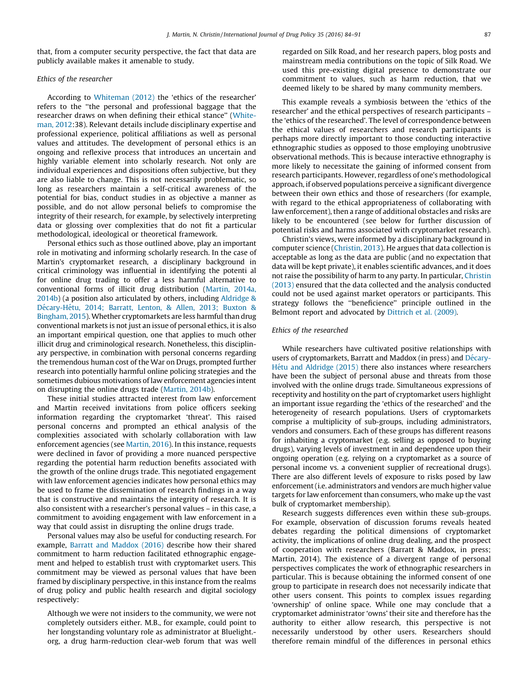that, from a computer security perspective, the fact that data are publicly available makes it amenable to study.

### Ethics of the researcher

According to Whiteman (2012) the 'ethics of the researcher' refers to the ''the personal and professional baggage that the researcher draws on when defining their ethical stance'' (Whiteman, 2012:38). Relevant details include disciplinary expertise and professional experience, political affiliations as well as personal values and attitudes. The development of personal ethics is an ongoing and reflexive process that introduces an uncertain and highly variable element into scholarly research. Not only are individual experiences and dispositions often subjective, but they are also liable to change. This is not necessarily problematic, so long as researchers maintain a self-critical awareness of the potential for bias, conduct studies in as objective a manner as possible, and do not allow personal beliefs to compromise the integrity of their research, for example, by selectively interpreting data or glossing over complexities that do not fit a particular methodological, ideological or theoretical framework.

Personal ethics such as those outlined above, play an important role in motivating and informing scholarly research. In the case of Martin's cryptomarket research, a disciplinary background in critical criminology was influential in identifying the potenti al for online drug trading to offer a less harmful alternative to conventional forms of illicit drug distribution (Martin, 2014a, 2014b) (a position also articulated by others, including Aldridge & Décary-Hétu, 2014; Barratt, Lenton, & Allen, 2013; Buxton & Bingham, 2015). Whether cryptomarkets are less harmful than drug conventional markets is not just an issue of personal ethics, it is also an important empirical question, one that applies to much other illicit drug and criminological research. Nonetheless, this disciplinary perspective, in combination with personal concerns regarding the tremendous human cost of the War on Drugs, prompted further research into potentially harmful online policing strategies and the sometimes dubious motivations of law enforcement agencies intent on disrupting the online drugs trade (Martin, 2014b).

These initial studies attracted interest from law enforcement and Martin received invitations from police officers seeking information regarding the cryptomarket 'threat'. This raised personal concerns and prompted an ethical analysis of the complexities associated with scholarly collaboration with law enforcement agencies (see Martin, 2016). In this instance, requests were declined in favor of providing a more nuanced perspective regarding the potential harm reduction benefits associated with the growth of the online drugs trade. This negotiated engagement with law enforcement agencies indicates how personal ethics may be used to frame the dissemination of research findings in a way that is constructive and maintains the integrity of research. It is also consistent with a researcher's personal values – in this case, a commitment to avoiding engagement with law enforcement in a way that could assist in disrupting the online drugs trade.

Personal values may also be useful for conducting research. For example, Barratt and Maddox (2016) describe how their shared commitment to harm reduction facilitated ethnographic engagement and helped to establish trust with cryptomarket users. This commitment may be viewed as personal values that have been framed by disciplinary perspective, in this instance from the realms of drug policy and public health research and digital sociology respectively:

Although we were not insiders to the community, we were not completely outsiders either. M.B., for example, could point to her longstanding voluntary role as administrator at Bluelight. org, a drug harm-reduction clear-web forum that was well

regarded on Silk Road, and her research papers, blog posts and mainstream media contributions on the topic of Silk Road. We used this pre-existing digital presence to demonstrate our commitment to values, such as harm reduction, that we deemed likely to be shared by many community members.

This example reveals a symbiosis between the 'ethics of the researcher' and the ethical perspectives of research participants – the 'ethics of the researched'. The level of correspondence between the ethical values of researchers and research participants is perhaps more directly important to those conducting interactive ethnographic studies as opposed to those employing unobtrusive observational methods. This is because interactive ethnography is more likely to necessitate the gaining of informed consent from research participants. However, regardless of one's methodological approach, if observed populations perceive a significant divergence between their own ethics and those of researchers (for example, with regard to the ethical appropriateness of collaborating with law enforcement), then a range of additional obstacles and risks are likely to be encountered (see below for further discussion of potential risks and harms associated with cryptomarket research).

Christin's views, were informed by a disciplinary background in computer science (Christin, 2013). He argues that data collection is acceptable as long as the data are public (and no expectation that data will be kept private), it enables scientific advances, and it does not raise the possibility of harm to any party. In particular, Christin (2013) ensured that the data collected and the analysis conducted could not be used against market operators or participants. This strategy follows the ''beneficience'' principle outlined in the Belmont report and advocated by Dittrich et al. (2009).

#### Ethics of the researched

While researchers have cultivated positive relationships with users of cryptomarkets, Barratt and Maddox (in press) and Décary-Hétu and Aldridge (2015) there also instances where researchers have been the subject of personal abuse and threats from those involved with the online drugs trade. Simultaneous expressions of receptivity and hostility on the part of cryptomarket users highlight an important issue regarding the 'ethics of the researched' and the heterogeneity of research populations. Users of cryptomarkets comprise a multiplicity of sub-groups, including administrators, vendors and consumers. Each of these groups has different reasons for inhabiting a cryptomarket (e.g. selling as opposed to buying drugs), varying levels of investment in and dependence upon their ongoing operation (e.g. relying on a cryptomarket as a source of personal income vs. a convenient supplier of recreational drugs). There are also different levels of exposure to risks posed by law enforcement (i.e. administrators and vendors are much higher value targets for law enforcement than consumers, who make up the vast bulk of cryptomarket membership).

Research suggests differences even within these sub-groups. For example, observation of discussion forums reveals heated debates regarding the political dimensions of cryptomarket activity, the implications of online drug dealing, and the prospect of cooperation with researchers (Barratt & Maddox, in press; Martin, 2014). The existence of a divergent range of personal perspectives complicates the work of ethnographic researchers in particular. This is because obtaining the informed consent of one group to participate in research does not necessarily indicate that other users consent. This points to complex issues regarding 'ownership' of online space. While one may conclude that a cryptomarket administrator 'owns' their site and therefore has the authority to either allow research, this perspective is not necessarily understood by other users. Researchers should therefore remain mindful of the differences in personal ethics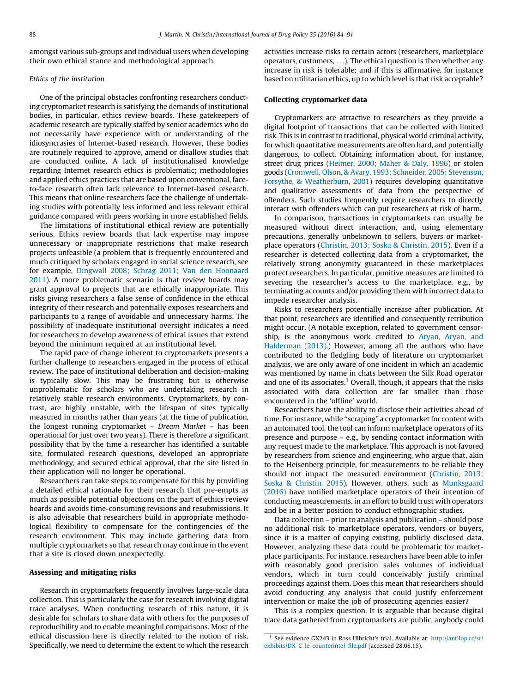amongst various sub-groups and individual users when developing their own ethical stance and methodological approach.

#### Ethics of the institution

One of the principal obstacles confronting researchers conducting cryptomarket research is satisfying the demands of institutional bodies, in particular, ethics review boards. These gatekeepers of academic research are typically staffed by senior academics who do not necessarily have experience with or understanding of the idiosyncrasies of Internet-based research. However, these bodies are routinely required to approve, amend or disallow studies that are conducted online. A lack of institutionalised knowledge regarding Internet research ethics is problematic; methodologies and applied ethics practices that are based upon conventional, faceto-face research often lack relevance to Internet-based research. This means that online researchers face the challenge of undertaking studies with potentially less informed and less relevant ethical guidance compared with peers working in more established fields.

The limitations of institutional ethical review are potentially serious. Ethics review boards that lack expertise may impose unnecessary or inappropriate restrictions that make research projects unfeasible (a problem that is frequently encountered and much critiqued by scholars engaged in social science research, see for example, Dingwall 2008; Schrag 2011; Van den Hoonaard 2011). A more problematic scenario is that review boards may grant approval to projects that are ethically inappropriate. This risks giving researchers a false sense of confidence in the ethical integrity of their research and potentially exposes researchers and participants to a range of avoidable and unnecessary harms. The possibility of inadequate institutional oversight indicates a need for researchers to develop awareness of ethical issues that extend beyond the minimum required at an institutional level.

The rapid pace of change inherent to cryptomarkets presents a further challenge to researchers engaged in the process of ethical review. The pace of institutional deliberation and decision-making is typically slow. This may be frustrating but is otherwise unproblematic for scholars who are undertaking research in relatively stable research environments. Cryptomarkets, by contrast, are highly unstable, with the lifespan of sites typically measured in months rather than years (at the time of publication, the longest running cryptomarket – Dream Market – has been operational for just over two years). There is therefore a significant possibility that by the time a researcher has identified a suitable site, formulated research questions, developed an appropriate methodology, and secured ethical approval, that the site listed in their application will no longer be operational.

Researchers can take steps to compensate for this by providing a detailed ethical rationale for their research that pre-empts as much as possible potential objections on the part of ethics review boards and avoids time-consuming revisions and resubmissions. It is also advisable that researchers build in appropriate methodological flexibility to compensate for the contingencies of the research environment. This may include gathering data from multiple cryptomarkets so that research may continue in the event that a site is closed down unexpectedly.

#### Assessing and mitigating risks

Research in cryptomarkets frequently involves large-scale data collection. This is particularly the case for research involving digital trace analyses. When conducting research of this nature, it is desirable for scholars to share data with others for the purposes of reproducibility and to enable meaningful comparisons. Most of the ethical discussion here is directly related to the notion of risk. Specifically, we need to determine the extent to which the research

activities increase risks to certain actors (researchers, marketplace operators, customers, ...). The ethical question is then whether any increase in risk is tolerable; and if this is affirmative, for instance based on utilitarian ethics, up to which level is that risk acceptable?

#### Collecting cryptomarket data

Cryptomarkets are attractive to researchers as they provide a digital footprint of transactions that can be collected with limited risk. This is in contrast to traditional, physical world criminal activity, for which quantitative measurements are often hard, and potentially dangerous, to collect. Obtaining information about, for instance, street drug prices (Heimer, 2000; Maher & Daly, 1996) or stolen goods (Cromwell, Olson, & Avary, 1993; Schneider, 2005; Stevenson, Forsythe, & Weatherburn, 2001) requires developing quantitative and qualitative assessments of data from the perspective of offenders. Such studies frequently require researchers to directly interact with offenders which can put researchers at risk of harm.

In comparison, transactions in cryptomarkets can usually be measured without direct interaction, and, using elementary precautions, generally unbeknown to sellers, buyers or marketplace operators (Christin, 2013; Soska & Christin, 2015). Even if a researcher is detected collecting data from a cryptomarket, the relatively strong anonymity guaranteed in these marketplaces protect researchers. In particular, punitive measures are limited to severing the researcher's access to the marketplace, e.g., by terminating accounts and/or providing them with incorrect data to impede researcher analysis.

Risks to researchers potentially increase after publication. At that point, researchers are identified and consequently retribution might occur. (A notable exception, related to government censorship, is the anonymous work credited to Aryan, Aryan, and Halderman (2013).) However, among all the authors who have contributed to the fledgling body of literature on cryptomarket analysis, we are only aware of one incident in which an academic was mentioned by name in chats between the Silk Road operator and one of its associates.<sup>1</sup> Overall, though, it appears that the risks associated with data collection are far smaller than those encountered in the 'offline' world.

Researchers have the ability to disclose their activities ahead of time. For instance, while ''scraping'' a cryptomarket for content with an automated tool, the tool can inform marketplace operators of its presence and purpose – e.g., by sending contact information with any request made to the marketplace. This approach is not favored by researchers from science and engineering, who argue that, akin to the Heisenberg principle, for measurements to be reliable they should not impact the measured environment (Christin, 2013; Soska & Christin, 2015). However, others, such as Munksgaard (2016) have notified marketplace operators of their intention of conducting measurements, in an effort to build trust with operators and be in a better position to conduct ethnographic studies.

Data collection – prior to analysis and publication – should pose no additional risk to marketplace operators, vendors or buyers, since it is a matter of copying existing, publicly disclosed data. However, analyzing these data could be problematic for marketplace participants. For instance, researchers have been able to infer with reasonably good precision sales volumes of individual vendors, which in turn could conceivably justify criminal proceedings against them. Does this mean that researchers should avoid conducting any analysis that could justify enforcement intervention or make the job of prosecuting agencies easier?

This is a complex question. It is arguable that because digital trace data gathered from cryptomarkets are public, anybody could

<sup>&</sup>lt;sup>1</sup> See evidence GX243 in Ross Ulbricht's trial. Available at: http://antilop.cc/sr/ exhibits/DX\_C\_le\_counterintel\_file.pdf (accessed 28.08.15).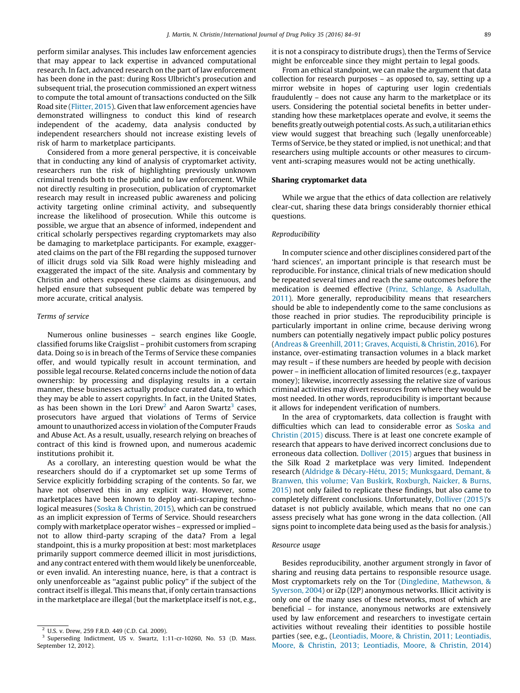perform similar analyses. This includes law enforcement agencies that may appear to lack expertise in advanced computational research. In fact, advanced research on the part of law enforcement has been done in the past: during Ross Ulbricht's prosecution and subsequent trial, the prosecution commissioned an expert witness to compute the total amount of transactions conducted on the Silk Road site (Flitter, 2015). Given that law enforcement agencies have demonstrated willingness to conduct this kind of research independent of the academy, data analysis conducted by independent researchers should not increase existing levels of risk of harm to marketplace participants.

Considered from a more general perspective, it is conceivable that in conducting any kind of analysis of cryptomarket activity, researchers run the risk of highlighting previously unknown criminal trends both to the public and to law enforcement. While not directly resulting in prosecution, publication of cryptomarket research may result in increased public awareness and policing activity targeting online criminal activity, and subsequently increase the likelihood of prosecution. While this outcome is possible, we argue that an absence of informed, independent and critical scholarly perspectives regarding cryptomarkets may also be damaging to marketplace participants. For example, exaggerated claims on the part of the FBI regarding the supposed turnover of illicit drugs sold via Silk Road were highly misleading and exaggerated the impact of the site. Analysis and commentary by Christin and others exposed these claims as disingenuous, and helped ensure that subsequent public debate was tempered by more accurate, critical analysis.

#### Terms of service

Numerous online businesses – search engines like Google, classified forums like Craigslist – prohibit customers from scraping data. Doing so is in breach of the Terms of Service these companies offer, and would typically result in account termination, and possible legal recourse. Related concerns include the notion of data ownership: by processing and displaying results in a certain manner, these businesses actually produce curated data, to which they may be able to assert copyrights. In fact, in the United States, as has been shown in the Lori Drew<sup>2</sup> and Aaron Swartz<sup>3</sup> cases, prosecutors have argued that violations of Terms of Service amount to unauthorized access in violation of the Computer Frauds and Abuse Act. As a result, usually, research relying on breaches of contract of this kind is frowned upon, and numerous academic institutions prohibit it.

As a corollary, an interesting question would be what the researchers should do if a cryptomarket set up some Terms of Service explicitly forbidding scraping of the contents. So far, we have not observed this in any explicit way. However, some marketplaces have been known to deploy anti-scraping technological measures (Soska & Christin, 2015), which can be construed as an implicit expression of Terms of Service. Should researchers comply with marketplace operator wishes – expressed or implied – not to allow third-party scraping of the data? From a legal standpoint, this is a murky proposition at best: most marketplaces primarily support commerce deemed illicit in most jurisdictions, and any contract entered with them would likely be unenforceable, or even invalid. An interesting nuance, here, is that a contract is only unenforceable as ''against public policy'' if the subject of the contract itself is illegal. This means that, if only certain transactions in the marketplace are illegal (but the marketplace itself is not, e.g., it is not a conspiracy to distribute drugs), then the Terms of Service might be enforceable since they might pertain to legal goods.

From an ethical standpoint, we can make the argument that data collection for research purposes – as opposed to, say, setting up a mirror website in hopes of capturing user login credentials fraudulently – does not cause any harm to the marketplace or its users. Considering the potential societal benefits in better understanding how these marketplaces operate and evolve, it seems the benefits greatly outweigh potential costs. As such, a utilitarian ethics view would suggest that breaching such (legally unenforceable) Terms of Service, be they stated or implied, is not unethical; and that researchers using multiple accounts or other measures to circumvent anti-scraping measures would not be acting unethically.

#### Sharing cryptomarket data

While we argue that the ethics of data collection are relatively clear-cut, sharing these data brings considerably thornier ethical questions.

#### Reproducibility

In computer science and other disciplines considered part of the 'hard sciences', an important principle is that research must be reproducible. For instance, clinical trials of new medication should be repeated several times and reach the same outcomes before the medication is deemed effective (Prinz, Schlange, & Asadullah, 2011). More generally, reproducibility means that researchers should be able to independently come to the same conclusions as those reached in prior studies. The reproducibility principle is particularly important in online crime, because deriving wrong numbers can potentially negatively impact public policy postures (Andreas & Greenhill, 2011; Graves, Acquisti, & Christin, 2016). For instance, over-estimating transaction volumes in a black market may result – if these numbers are heeded by people with decision power – in inefficient allocation of limited resources (e.g., taxpayer money); likewise, incorrectly assessing the relative size of various criminal activities may divert resources from where they would be most needed. In other words, reproducibility is important because it allows for independent verification of numbers.

In the area of cryptomarkets, data collection is fraught with difficulties which can lead to considerable error as Soska and Christin (2015) discuss. There is at least one concrete example of research that appears to have derived incorrect conclusions due to erroneous data collection. Dolliver (2015) argues that business in the Silk Road 2 marketplace was very limited. Independent research (Aldridge & Décary-Hétu, 2015; Munksgaard, Demant, & Branwen, this volume; Van Buskirk, Roxburgh, Naicker, & Burns, 2015) not only failed to replicate these findings, but also came to completely different conclusions. Unfortunately, Dolliver (2015)'s dataset is not publicly available, which means that no one can assess precisely what has gone wrong in the data collection. (All signs point to incomplete data being used as the basis for analysis.)

#### Resource usage

Besides reproducibility, another argument strongly in favor of sharing and reusing data pertains to responsible resource usage. Most cryptomarkets rely on the Tor (Dingledine, Mathewson, & Syverson, 2004) or i2p (I2P) anonymous networks. Illicit activity is only one of the many uses of these networks, most of which are beneficial – for instance, anonymous networks are extensively used by law enforcement and researchers to investigate certain activities without revealing their identities to possible hostile parties (see, e.g., (Leontiadis, Moore, & Christin, 2011; Leontiadis, Moore, & Christin, 2013; Leontiadis, Moore, & Christin, 2014)

<sup>2</sup> U.S. v. Drew, 259 F.R.D. 449 (C.D. Cal. 2009).

<sup>&</sup>lt;sup>3</sup> Superseding Indictment, US v. Swartz, 1:11-cr-10260, No. 53 (D. Mass. September 12, 2012).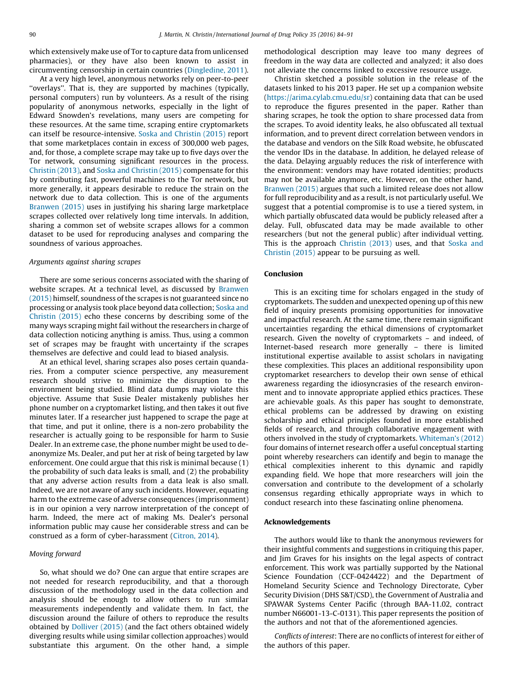which extensively make use of Tor to capture data from unlicensed pharmacies), or they have also been known to assist in circumventing censorship in certain countries (Dingledine, 2011).

At a very high level, anonymous networks rely on peer-to-peer ''overlays''. That is, they are supported by machines (typically, personal computers) run by volunteers. As a result of the rising popularity of anonymous networks, especially in the light of Edward Snowden's revelations, many users are competing for these resources. At the same time, scraping entire cryptomarkets can itself be resource-intensive. Soska and Christin (2015) report that some marketplaces contain in excess of 300,000 web pages, and, for those, a complete scrape may take up to five days over the Tor network, consuming significant resources in the process. Christin (2013), and Soska and Christin (2015) compensate for this by contributing fast, powerful machines to the Tor network, but more generally, it appears desirable to reduce the strain on the network due to data collection. This is one of the arguments Branwen (2015) uses in justifying his sharing large marketplace scrapes collected over relatively long time intervals. In addition, sharing a common set of website scrapes allows for a common dataset to be used for reproducing analyses and comparing the soundness of various approaches.

#### Arguments against sharing scrapes

There are some serious concerns associated with the sharing of website scrapes. At a technical level, as discussed by Branwen (2015) himself, soundness of the scrapes is not guaranteed since no processing or analysis took place beyond data collection; Soska and Christin (2015) echo these concerns by describing some of the many ways scraping might fail without the researchers in charge of data collection noticing anything is amiss. Thus, using a common set of scrapes may be fraught with uncertainty if the scrapes themselves are defective and could lead to biased analysis.

At an ethical level, sharing scrapes also poses certain quandaries. From a computer science perspective, any measurement research should strive to minimize the disruption to the environment being studied. Blind data dumps may violate this objective. Assume that Susie Dealer mistakenly publishes her phone number on a cryptomarket listing, and then takes it out five minutes later. If a researcher just happened to scrape the page at that time, and put it online, there is a non-zero probability the researcher is actually going to be responsible for harm to Susie Dealer. In an extreme case, the phone number might be used to deanonymize Ms. Dealer, and put her at risk of being targeted by law enforcement. One could argue that this risk is minimal because (1) the probability of such data leaks is small, and (2) the probability that any adverse action results from a data leak is also small. Indeed, we are not aware of any such incidents. However, equating harm to the extreme case of adverse consequences (imprisonment) is in our opinion a very narrow interpretation of the concept of harm. Indeed, the mere act of making Ms. Dealer's personal information public may cause her considerable stress and can be construed as a form of cyber-harassment (Citron, 2014).

#### Moving forward

So, what should we do? One can argue that entire scrapes are not needed for research reproducibility, and that a thorough discussion of the methodology used in the data collection and analysis should be enough to allow others to run similar measurements independently and validate them. In fact, the discussion around the failure of others to reproduce the results obtained by Dolliver (2015) (and the fact others obtained widely diverging results while using similar collection approaches) would substantiate this argument. On the other hand, a simple methodological description may leave too many degrees of freedom in the way data are collected and analyzed; it also does not alleviate the concerns linked to excessive resource usage.

Christin sketched a possible solution in the release of the datasets linked to his 2013 paper. He set up a companion website (https://arima.cylab.cmu.edu/sr) containing data that can be used to reproduce the figures presented in the paper. Rather than sharing scrapes, he took the option to share processed data from the scrapes. To avoid identity leaks, he also obfuscated all textual information, and to prevent direct correlation between vendors in the database and vendors on the Silk Road website, he obfuscated the vendor IDs in the database. In addition, he delayed release of the data. Delaying arguably reduces the risk of interference with the environment: vendors may have rotated identities; products may not be available anymore, etc. However, on the other hand, Branwen (2015) argues that such a limited release does not allow for full reproducibility and as a result, is not particularly useful. We suggest that a potential compromise is to use a tiered system, in which partially obfuscated data would be publicly released after a delay. Full, obfuscated data may be made available to other researchers (but not the general public) after individual vetting. This is the approach Christin (2013) uses, and that Soska and Christin (2015) appear to be pursuing as well.

## Conclusion

This is an exciting time for scholars engaged in the study of cryptomarkets. The sudden and unexpected opening up of this new field of inquiry presents promising opportunities for innovative and impactful research. At the same time, there remain significant uncertainties regarding the ethical dimensions of cryptomarket research. Given the novelty of cryptomarkets – and indeed, of Internet-based research more generally – there is limited institutional expertise available to assist scholars in navigating these complexities. This places an additional responsibility upon cryptomarket researchers to develop their own sense of ethical awareness regarding the idiosyncrasies of the research environment and to innovate appropriate applied ethics practices. These are achievable goals. As this paper has sought to demonstrate, ethical problems can be addressed by drawing on existing scholarship and ethical principles founded in more established fields of research, and through collaborative engagement with others involved in the study of cryptomarkets. Whiteman's (2012) four domains of internet research offer a useful conceptual starting point whereby researchers can identify and begin to manage the ethical complexities inherent to this dynamic and rapidly expanding field. We hope that more researchers will join the conversation and contribute to the development of a scholarly consensus regarding ethically appropriate ways in which to conduct research into these fascinating online phenomena.

### Acknowledgements

The authors would like to thank the anonymous reviewers for their insightful comments and suggestions in critiquing this paper, and Jim Graves for his insights on the legal aspects of contract enforcement. This work was partially supported by the National Science Foundation (CCF-0424422) and the Department of Homeland Security Science and Technology Directorate, Cyber Security Division (DHS S&T/CSD), the Government of Australia and SPAWAR Systems Center Pacific (through BAA-11.02, contract number N66001-13-C-0131). This paper represents the position of the authors and not that of the aforementioned agencies.

Conflicts of interest: There are no conflicts of interest for either of the authors of this paper.